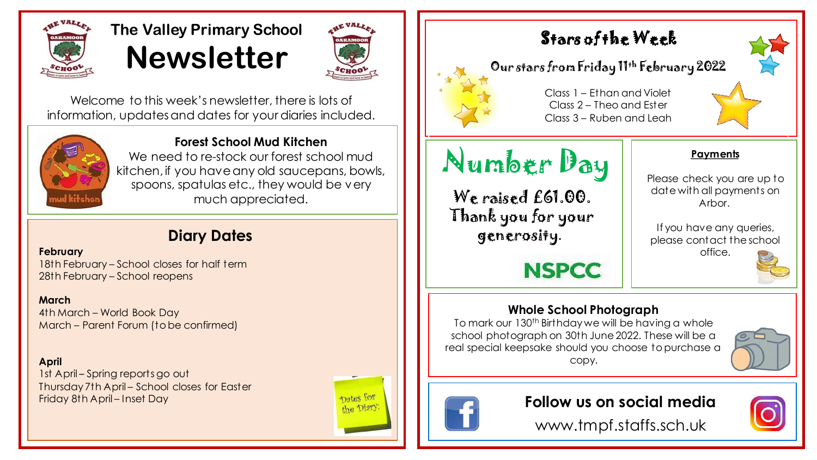

# **The Valley Primary School Newsletter**



Welcome to this week's newsletter, there is lots of information, updates and dates for your diaries included.



**Forest School Mud Kitchen**

We need to re-stock our forest school mud kitchen, if you have any old saucepans, bowls, spoons, spatulas etc., they would be very much appreciated.

## **Diary Dates**

#### **February**

18th February – School closes for half term 28th February – School reopens

#### **March**

4th March – World Book Day March – Parent Forum (to be confirmed)

#### **April**

1st April – Spring reports go out Thursday 7th April – School closes for Easter